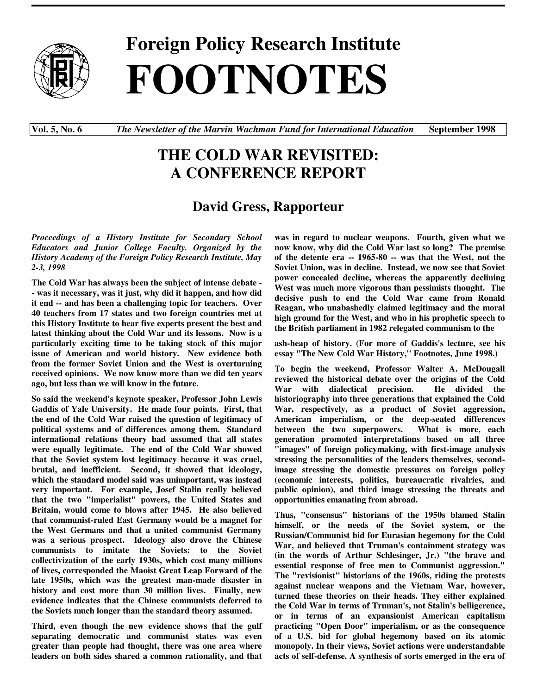

**Foreign Policy Research Institute FOOTNOTES**

**Vol. 5, No. 6** *The Newsletter of the Marvin Wachman Fund for International Education* **September 1998**

## **THE COLD WAR REVISITED: A CONFERENCE REPORT**

## **David Gress, Rapporteur**

*Proceedings of a History Institute for Secondary School Educators and Junior College Faculty. Organized by the History Academy of the Foreign Policy Research Institute, May 2-3, 1998*

**The Cold War has always been the subject of intense debate - - was it necessary, was it just, why did it happen, and how did it end -- and has been a challenging topic for teachers. Over 40 teachers from 17 states and two foreign countries met at this History Institute to hear five experts present the best and latest thinking about the Cold War and its lessons. Now is a particularly exciting time to be taking stock of this major issue of American and world history. New evidence both from the former Soviet Union and the West is overturning received opinions. We now know more than we did ten years ago, but less than we will know in the future.**

**So said the weekend's keynote speaker, Professor John Lewis Gaddis of Yale University. He made four points. First, that the end of the Cold War raised the question of legitimacy of political systems and of differences among them. Standard international relations theory had assumed that all states were equally legitimate. The end of the Cold War showed that the Soviet system lost legitimacy because it was cruel, brutal, and inefficient. Second, it showed that ideology, which the standard model said was unimportant, was instead very important. For example, Josef Stalin really believed that the two "imperialist" powers, the United States and Britain, would come to blows after 1945. He also believed that communist-ruled East Germany would be a magnet for the West Germans and that a united communist Germany was a serious prospect. Ideology also drove the Chinese communists to imitate the Soviets: to the Soviet collectivization of the early 1930s, which cost many millions of lives, corresponded the Maoist Great Leap Forward of the late 1950s, which was the greatest man-made disaster in history and cost more than 30 million lives. Finally, new evidence indicates that the Chinese communists deferred to the Soviets much longer than the standard theory assumed.**

**Third, even though the new evidence shows that the gulf separating democratic and communist states was even greater than people had thought, there was one area where leaders on both sides shared a common rationality, and that** **was in regard to nuclear weapons. Fourth, given what we now know, why did the Cold War last so long? The premise of the detente era -- 1965-80 -- was that the West, not the Soviet Union, was in decline. Instead, we now see that Soviet power concealed decline, whereas the apparently declining West was much more vigorous than pessimists thought. The decisive push to end the Cold War came from Ronald Reagan, who unabashedly claimed legitimacy and the moral high ground for the West, and who in his prophetic speech to the British parliament in 1982 relegated communism to the**

**ash-heap of history. (For more of Gaddis's lecture, see his essay "The New Cold War History," Footnotes, June 1998.)**

**To begin the weekend, Professor Walter A. McDougall reviewed the historical debate over the origins of the Cold War with dialectical precision. He divided the historiography into three generations that explained the Cold War, respectively, as a product of Soviet aggression, American imperialism, or the deep-seated differences between the two superpowers. What is more, each generation promoted interpretations based on all three "images" of foreign policymaking, with first-image analysis stressing the personalities of the leaders themselves, secondimage stressing the domestic pressures on foreign policy (economic interests, politics, bureaucratic rivalries, and public opinion), and third image stressing the threats and opportunities emanating from abroad.**

**Thus, "consensus" historians of the 1950s blamed Stalin himself, or the needs of the Soviet system, or the Russian/Communist bid for Eurasian hegemony for the Cold War, and believed that Truman's containment strategy was (in the words of Arthur Schlesinger, Jr.) "the brave and essential response of free men to Communist aggression." The "revisionist" historians of the 1960s, riding the protests against nuclear weapons and the Vietnam War, however, turned these theories on their heads. They either explained the Cold War in terms of Truman's, not Stalin's belligerence, or in terms of an expansionist American capitalism practicing "Open Door" imperialism, or as the consequence of a U.S. bid for global hegemony based on its atomic monopoly. In their views, Soviet actions were understandable acts of self-defense. A synthesis of sorts emerged in the era of**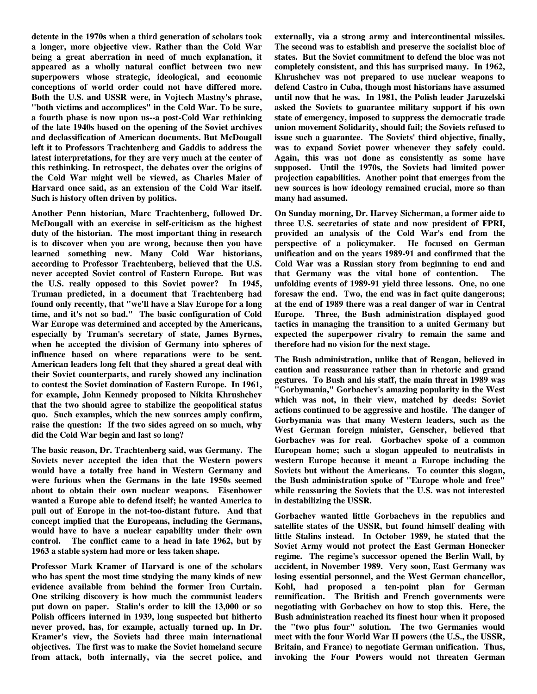**detente in the 1970s when a third generation of scholars took a longer, more objective view. Rather than the Cold War being a great aberration in need of much explanation, it appeared as a wholly natural conflict between two new superpowers whose strategic, ideological, and economic conceptions of world order could not have differed more. Both the U.S. and USSR were, in Vojtech Mastny's phrase, "both victims and accomplices" in the Cold War. To be sure, a fourth phase is now upon us--a post-Cold War rethinking of the late 1940s based on the opening of the Soviet archives and declassification of American documents. But McDougall left it to Professors Trachtenberg and Gaddis to address the latest interpretations, for they are very much at the center of this rethinking. In retrospect, the debates over the origins of the Cold War might well be viewed, as Charles Maier of Harvard once said, as an extension of the Cold War itself. Such is history often driven by politics.**

**Another Penn historian, Marc Trachtenberg, followed Dr. McDougall with an exercise in self-criticism as the highest duty of the historian. The most important thing in research is to discover when you are wrong, because then you have learned something new. Many Cold War historians, according to Professor Trachtenberg, believed that the U.S. never accepted Soviet control of Eastern Europe. But was the U.S. really opposed to this Soviet power? In 1945, Truman predicted, in a document that Trachtenberg had found only recently, that "we'll have a Slav Europe for a long time, and it's not so bad." The basic configuration of Cold War Europe was determined and accepted by the Americans, especially by Truman's secretary of state, James Byrnes, when he accepted the division of Germany into spheres of influence based on where reparations were to be sent. American leaders long felt that they shared a great deal with their Soviet counterparts, and rarely showed any inclination to contest the Soviet domination of Eastern Europe. In 1961, for example, John Kennedy proposed to Nikita Khrushchev that the two should agree to stabilize the geopolitical status quo. Such examples, which the new sources amply confirm, raise the question: If the two sides agreed on so much, why did the Cold War begin and last so long?**

**The basic reason, Dr. Trachtenberg said, was Germany. The Soviets never accepted the idea that the Western powers would have a totally free hand in Western Germany and were furious when the Germans in the late 1950s seemed about to obtain their own nuclear weapons. Eisenhower wanted a Europe able to defend itself; he wanted America to pull out of Europe in the not-too-distant future. And that concept implied that the Europeans, including the Germans, would have to have a nuclear capability under their own control. The conflict came to a head in late 1962, but by 1963 a stable system had more or less taken shape.**

**Professor Mark Kramer of Harvard is one of the scholars who has spent the most time studying the many kinds of new evidence available from behind the former Iron Curtain. One striking discovery is how much the communist leaders put down on paper. Stalin's order to kill the 13,000 or so Polish officers interned in 1939, long suspected but hitherto never proved, has, for example, actually turned up. In Dr. Kramer's view, the Soviets had three main international objectives. The first was to make the Soviet homeland secure from attack, both internally, via the secret police, and** **externally, via a strong army and intercontinental missiles. The second was to establish and preserve the socialist bloc of states. But the Soviet commitment to defend the bloc was not completely consistent, and this has surprised many. In 1962, Khrushchev was not prepared to use nuclear weapons to defend Castro in Cuba, though most historians have assumed until now that he was. In 1981, the Polish leader Jaruzelski asked the Soviets to guarantee military support if his own state of emergency, imposed to suppress the democratic trade union movement Solidarity, should fail; the Soviets refused to issue such a guarantee. The Soviets' third objective, finally, was to expand Soviet power whenever they safely could. Again, this was not done as consistently as some have supposed. Until the 1970s, the Soviets had limited power projection capabilities. Another point that emerges from the new sources is how ideology remained crucial, more so than many had assumed.**

**On Sunday morning, Dr. Harvey Sicherman, a former aide to three U.S. secretaries of state and now president of FPRI, provided an analysis of the Cold War's end from the perspective of a policymaker. He focused on German unification and on the years 1989-91 and confirmed that the Cold War was a Russian story from beginning to end and that Germany was the vital bone of contention. The unfolding events of 1989-91 yield three lessons. One, no one foresaw the end. Two, the end was in fact quite dangerous; at the end of 1989 there was a real danger of war in Central Europe. Three, the Bush administration displayed good tactics in managing the transition to a united Germany but expected the superpower rivalry to remain the same and therefore had no vision for the next stage.**

**The Bush administration, unlike that of Reagan, believed in caution and reassurance rather than in rhetoric and grand gestures. To Bush and his staff, the main threat in 1989 was "Gorbymania," Gorbachev's amazing popularity in the West which was not, in their view, matched by deeds: Soviet actions continued to be aggressive and hostile. The danger of Gorbymania was that many Western leaders, such as the West German foreign minister, Genscher, believed that Gorbachev was for real. Gorbachev spoke of a common European home; such a slogan appealed to neutralists in western Europe because it meant a Europe including the Soviets but without the Americans. To counter this slogan, the Bush administration spoke of "Europe whole and free" while reassuring the Soviets that the U.S. was not interested in destabilizing the USSR.**

**Gorbachev wanted little Gorbachevs in the republics and satellite states of the USSR, but found himself dealing with little Stalins instead. In October 1989, he stated that the Soviet Army would not protect the East German Honecker regime. The regime's successor opened the Berlin Wall, by accident, in November 1989. Very soon, East Germany was losing essential personnel, and the West German chancellor, Kohl, had proposed a ten-point plan for German reunification. The British and French governments were negotiating with Gorbachev on how to stop this. Here, the Bush administration reached its finest hour when it proposed the "two plus four" solution. The two Germanies would meet with the four World War II powers (the U.S., the USSR, Britain, and France) to negotiate German unification. Thus, invoking the Four Powers would not threaten German**